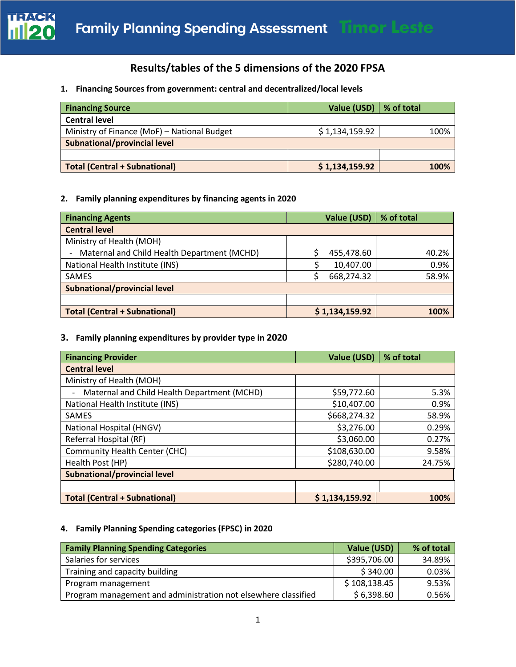

# **Results/tables of the 5 dimensions of the 2020 FPSA**

### **1. Financing Sources from government: central and decentralized/local levels**

| <b>Financing Source</b>                     | Value (USD)   % of total |      |
|---------------------------------------------|--------------------------|------|
| <b>Central level</b>                        |                          |      |
| Ministry of Finance (MoF) - National Budget | \$1,134,159.92           | 100% |
| <b>Subnational/provincial level</b>         |                          |      |
|                                             |                          |      |
| <b>Total (Central + Subnational)</b>        | \$1,134,159.92           | 100% |

#### **2. Family planning expenditures by financing agents in 2020**

| <b>Financing Agents</b>                     | Value (USD)    | % of total |  |  |
|---------------------------------------------|----------------|------------|--|--|
| <b>Central level</b>                        |                |            |  |  |
| Ministry of Health (MOH)                    |                |            |  |  |
| Maternal and Child Health Department (MCHD) | 455,478.60     | 40.2%      |  |  |
| National Health Institute (INS)             | 10,407.00      | 0.9%       |  |  |
| SAMES                                       | 668,274.32     | 58.9%      |  |  |
| Subnational/provincial level                |                |            |  |  |
|                                             |                |            |  |  |
| <b>Total (Central + Subnational)</b>        | \$1,134,159.92 | 100%       |  |  |

#### **3. Family planning expenditures by provider type in 2020**

| <b>Financing Provider</b>                   | Value (USD)    | % of total |  |  |  |  |
|---------------------------------------------|----------------|------------|--|--|--|--|
| <b>Central level</b>                        |                |            |  |  |  |  |
| Ministry of Health (MOH)                    |                |            |  |  |  |  |
| Maternal and Child Health Department (MCHD) | \$59,772.60    | 5.3%       |  |  |  |  |
| National Health Institute (INS)             | \$10,407.00    | 0.9%       |  |  |  |  |
| SAMES                                       | \$668,274.32   | 58.9%      |  |  |  |  |
| National Hospital (HNGV)                    | \$3,276.00     | 0.29%      |  |  |  |  |
| Referral Hospital (RF)                      | \$3,060.00     | 0.27%      |  |  |  |  |
| Community Health Center (CHC)               | \$108,630.00   | 9.58%      |  |  |  |  |
| Health Post (HP)                            | \$280,740.00   | 24.75%     |  |  |  |  |
| <b>Subnational/provincial level</b>         |                |            |  |  |  |  |
|                                             |                |            |  |  |  |  |
| <b>Total (Central + Subnational)</b>        | \$1,134,159.92 | 100%       |  |  |  |  |

## **4. Family Planning Spending categories (FPSC) in 2020**

| <b>Family Planning Spending Categories</b>                     | Value (USD)  | % of total |
|----------------------------------------------------------------|--------------|------------|
| Salaries for services                                          | \$395,706.00 | 34.89%     |
| Training and capacity building                                 | \$340.00     | 0.03%      |
| Program management                                             | \$108,138.45 | 9.53%      |
| Program management and administration not elsewhere classified | \$6,398.60   | 0.56%      |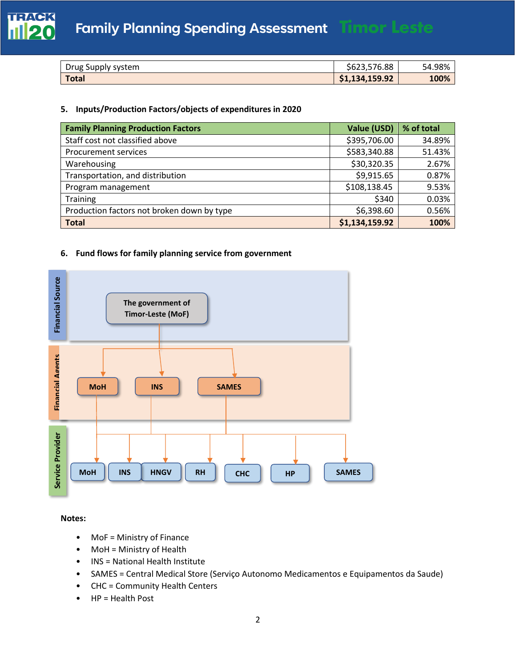

| Drug Supply system | \$623,576.88   | 54.98% |
|--------------------|----------------|--------|
| <b>Total</b>       | \$1,134,159.92 | 100%   |

#### **5. Inputs/Production Factors/objects of expenditures in 2020**

| <b>Family Planning Production Factors</b>  | <b>Value (USD)</b> | % of total |
|--------------------------------------------|--------------------|------------|
| Staff cost not classified above            | \$395,706.00       | 34.89%     |
| <b>Procurement services</b>                | \$583,340.88       | 51.43%     |
| Warehousing                                | \$30,320.35        | 2.67%      |
| Transportation, and distribution           | \$9,915.65         | 0.87%      |
| Program management                         | \$108,138.45       | 9.53%      |
| <b>Training</b>                            | \$340              | 0.03%      |
| Production factors not broken down by type | \$6,398.60         | 0.56%      |
| <b>Total</b>                               | \$1,134,159.92     | 100%       |

#### **6. Fund flows for family planning service from government**



**Notes:**

- MoF = Ministry of Finance
- MoH = Ministry of Health
- INS = National Health Institute
- SAMES = Central Medical Store (Serviço Autonomo Medicamentos e Equipamentos da Saude)
- CHC = Community Health Centers
- HP = Health Post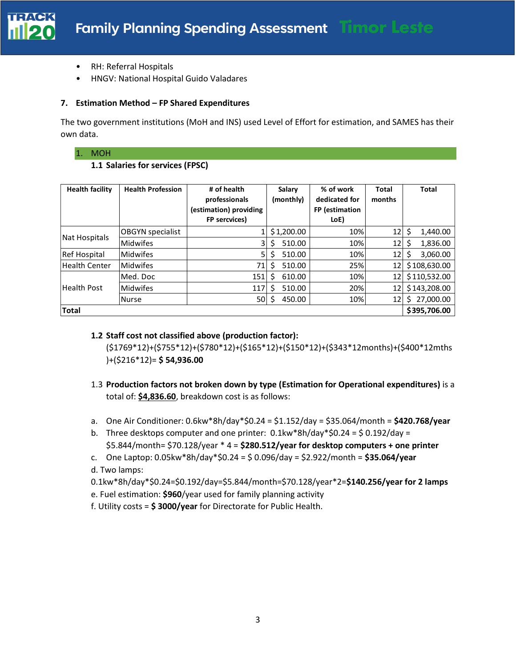

- RH: Referral Hospitals
- HNGV: National Hospital Guido Valadares

#### **7. Estimation Method – FP Shared Expenditures**

The two government institutions (MoH and INS) used Level of Effort for estimation, and SAMES has their own data.

#### 1. MOH

#### **1.1 Salaries for services (FPSC)**

| <b>Health facility</b> | <b>Health Profession</b> | # of health<br>professionals<br>(estimation) providing<br>FP sercvices) | Salary<br>(monthly) | % of work<br>dedicated for<br>FP (estimation<br>LoE) | <b>Total</b><br>months | <b>Total</b>  |
|------------------------|--------------------------|-------------------------------------------------------------------------|---------------------|------------------------------------------------------|------------------------|---------------|
|                        | <b>OBGYN</b> specialist  |                                                                         | \$1,200.00          | 10%                                                  | 12                     | Ś<br>1,440.00 |
| Nat Hospitals          | <b>Midwifes</b>          | 3                                                                       | 510.00<br>S         | 10%                                                  | 12                     | 1,836.00      |
| <b>Ref Hospital</b>    | <b>Midwifes</b>          | 5                                                                       | Ś<br>510.00         | 10%                                                  | 12                     | 3,060.00      |
| <b>Health Center</b>   | <b>Midwifes</b>          | 71                                                                      | 510.00<br>S         | 25%                                                  | 12                     | \$108,630.00  |
|                        | Med. Doc                 | 151                                                                     | 610.00<br>S         | 10%                                                  | 12                     | \$110,532.00  |
| <b>Health Post</b>     | <b>Midwifes</b>          | 117                                                                     | 510.00<br>S         | 20%                                                  | 12                     | \$143,208.00  |
|                        | <b>Nurse</b>             | 50                                                                      | 450.00              | 10%                                                  | 12                     | 27,000.00     |
| <b>Total</b>           |                          |                                                                         |                     |                                                      |                        | \$395,706.00  |

#### **1.2 Staff cost not classified above (production factor):**

(\$1769\*12)+(\$755\*12)+(\$780\*12)+(\$165\*12)+(\$150\*12)+(\$343\*12months)+(\$400\*12mths )+(\$216\*12)= **\$ 54,936.00**

- 1.3 **Production factors not broken down by type (Estimation for Operational expenditures)** is a total of: **\$4,836.60**, breakdown cost is as follows:
- a. One Air Conditioner: 0.6kw\*8h/day\*\$0.24 = \$1.152/day = \$35.064/month = **\$420.768/year**
- b. Three desktops computer and one printer:  $0.1$ kw\*8h/day\*\$0.24 = \$0.192/day = \$5.844/month= \$70.128/year \* 4 = **\$280.512/year for desktop computers + one printer**
- c. One Laptop: 0.05kw\*8h/day\*\$0.24 = \$ 0.096/day = \$2.922/month = **\$35.064/year**

d. Two lamps:

- 0.1kw\*8h/day\*\$0.24=\$0.192/day=\$5.844/month=\$70.128/year\*2=**\$140.256/year for 2 lamps**
- e. Fuel estimation: **\$960**/year used for family planning activity
- f. Utility costs = **\$ 3000/year** for Directorate for Public Health.